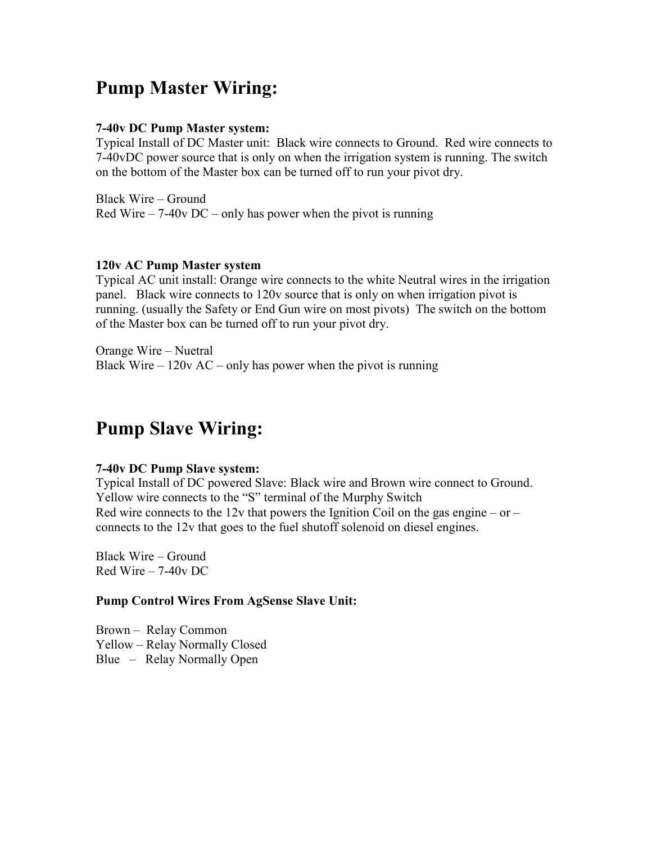### **Pump Master Wiring:**

#### **7-40v DC Pump Master system:**

Typical Install of DC Master unit: Black wire connects to Ground. Red wire connects to 7-40vDC power source that is only on when the irrigation system is running. The switch on the bottom of the Master box can be turned off to run your pivot dry.

Black Wire – Ground Red Wire –  $7-40v$  DC – only has power when the pivot is running

#### **120v AC Pump Master system**

Typical AC unit install: Orange wire connects to the white Neutral wires in the irrigation panel. Black wire connects to 120v source that is only on when irrigation pivot is running. (usually the Safety or End Gun wire on most pivots) The switch on the bottom of the Master box can be turned off to run your pivot dry.

Orange Wire – Nuetral Black Wire –  $120v$  AC – only has power when the pivot is running

### **Pump Slave Wiring:**

#### **7-40v DC Pump Slave system:**

Typical Install of DC powered Slave: Black wire and Brown wire connect to Ground. Yellow wire connects to the "S" terminal of the Murphy Switch Red wire connects to the 12y that powers the Ignition Coil on the gas engine – or – connects to the 12v that goes to the fuel shutoff solenoid on diesel engines.

Black Wire – Ground Red Wire – 7-40v DC

#### **Pump Control Wires From AgSense Slave Unit:**

Brown – Relay Common Yellow – Relay Normally Closed Blue – Relay Normally Open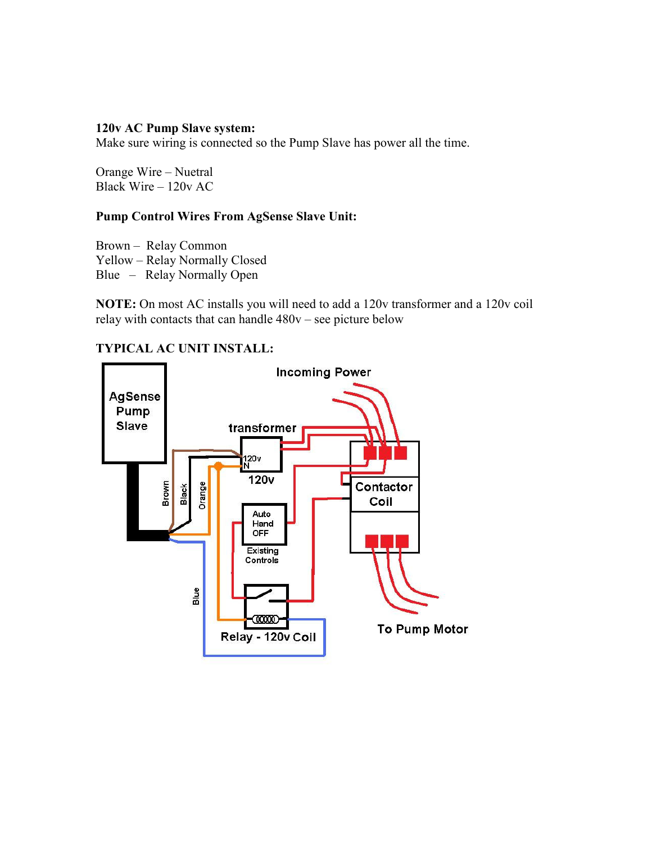#### **120v AC Pump Slave system:**

Make sure wiring is connected so the Pump Slave has power all the time.

Orange Wire – Nuetral Black Wire – 120v AC

#### **Pump Control Wires From AgSense Slave Unit:**

Brown – Relay Common Yellow – Relay Normally Closed Blue – Relay Normally Open

**NOTE:** On most AC installs you will need to add a 120v transformer and a 120v coil relay with contacts that can handle 480v – see picture below

### **TYPICAL AC UNIT INSTALL:**

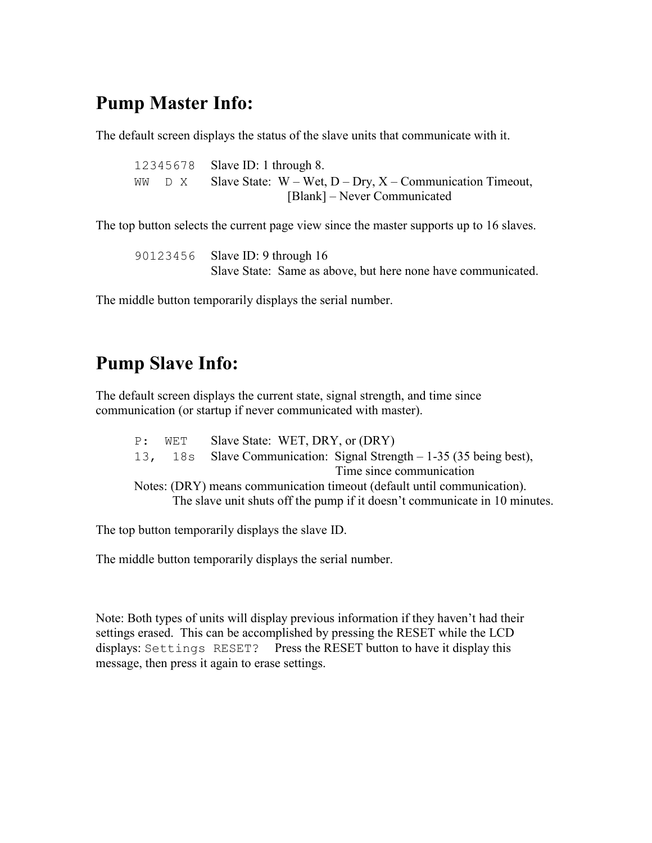# **Pump Master Info:**

The default screen displays the status of the slave units that communicate with it.

 12345678 Slave ID: 1 through 8. WW  $\Box$  X Slave State: W – Wet, D – Dry, X – Communication Timeout, [Blank] – Never Communicated

The top button selects the current page view since the master supports up to 16 slaves.

 90123456 Slave ID: 9 through 16 Slave State: Same as above, but here none have communicated.

The middle button temporarily displays the serial number.

# **Pump Slave Info:**

The default screen displays the current state, signal strength, and time since communication (or startup if never communicated with master).

| P: | WET | Slave State: WET, DRY, or (DRY)                                            |
|----|-----|----------------------------------------------------------------------------|
|    |     | 13, 18s Slave Communication: Signal Strength – 1-35 (35 being best),       |
|    |     | Time since communication                                                   |
|    |     | Notes: (DRY) means communication timeout (default until communication).    |
|    |     | The slave unit shuts off the pump if it doesn't communicate in 10 minutes. |

The top button temporarily displays the slave ID.

The middle button temporarily displays the serial number.

Note: Both types of units will display previous information if they haven't had their settings erased. This can be accomplished by pressing the RESET while the LCD displays: Settings RESET? Press the RESET button to have it display this message, then press it again to erase settings.